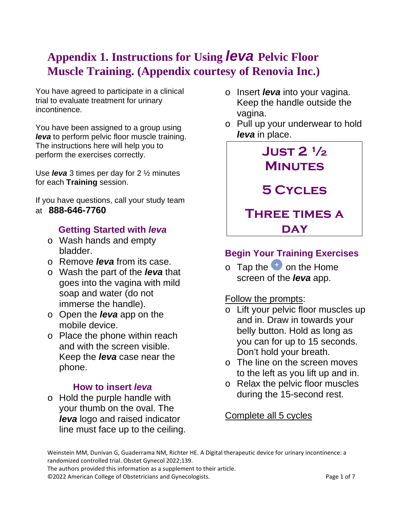# **Appendix 1. Instructions for Using** *leva* **Pelvic Floor Muscle Training. (Appendix courtesy of Renovia Inc.)**

You have agreed to participate in a clinical trial to evaluate treatment for urinary incontinence.

You have been assigned to a group using *leva* to perform pelvic floor muscle training. The instructions here will help you to perform the exercises correctly.

Use *leva* 3 times per day for 2 ½ minutes for each **Training** session.

If you have questions, call your study team at **888-646-7760**

### **Getting Started with** *leva*

- o Wash hands and empty bladder.
- o Remove *leva* from its case.
- o Wash the part of the *leva* that goes into the vagina with mild soap and water (do not immerse the handle).
- o Open the *leva* app on the mobile device.
- o Place the phone within reach and with the screen visible. Keep the *leva* case near the phone.

### **How to insert** *leva*

o Hold the purple handle with your thumb on the oval. The *leva* logo and raised indicator line must face up to the ceiling.

- o Insert *leva* into your vagina. Keep the handle outside the vagina.
- o Pull up your underwear to hold *leva* in place.



## **Begin Your Training Exercises**

 $\circ$  Tap the  $\overline{t}$  on the Home screen of the *leva* app.

#### Follow the prompts:

- o Lift your pelvic floor muscles up and in. Draw in towards your belly button. Hold as long as you can for up to 15 seconds. Don't hold your breath.
- $\circ$  The line on the screen moves to the left as you lift up and in.
- o Relax the pelvic floor muscles during the 15-second rest.

Complete all 5 cycles

The authors provided this information as a supplement to their article.

©2022 American College of Obstetricians and Gynecologists. Page 1 of 7

Weinstein MM, Dunivan G, Guaderrama NM, Richter HE. A Digital therapeutic device for urinary incontinence: a randomized controlled trial. Obstet Gynecol 2022;139.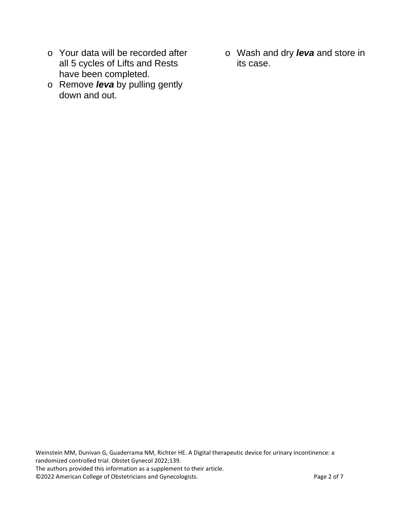- o Your data will be recorded after all 5 cycles of Lifts and Rests have been completed.
- o Remove *leva* by pulling gently down and out.
- o Wash and dry *leva* and store in its case.

Weinstein MM, Dunivan G, Guaderrama NM, Richter HE. A Digital therapeutic device for urinary incontinence: a randomized controlled trial. Obstet Gynecol 2022;139. The authors provided this information as a supplement to their article. ©2022 American College of Obstetricians and Gynecologists. Page 2 of 7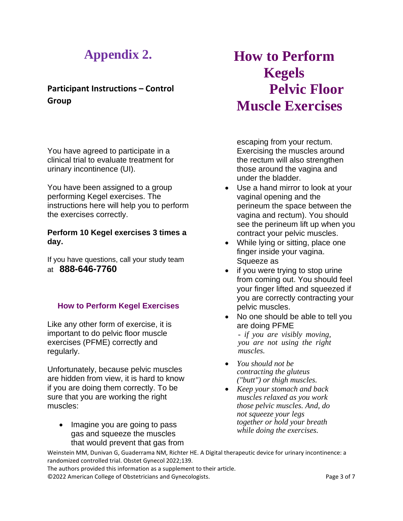# **Appendix 2.**

### **Participant Instructions – Control Group**

You have agreed to participate in a clinical trial to evaluate treatment for urinary incontinence (UI).

You have been assigned to a group performing Kegel exercises. The instructions here will help you to perform the exercises correctly.

#### **Perform 10 Kegel exercises 3 times a day.**

If you have questions, call your study team at **888-646-7760**

#### **How to Perform Kegel Exercises**

Like any other form of exercise, it is important to do pelvic floor muscle exercises (PFME) correctly and regularly.

Unfortunately, because pelvic muscles are hidden from view, it is hard to know if you are doing them correctly. To be sure that you are working the right muscles:

• Imagine you are going to pass gas and squeeze the muscles that would prevent that gas from

# **How to Perform Kegels Pelvic Floor Muscle Exercises**

escaping from your rectum. Exercising the muscles around the rectum will also strengthen those around the vagina and under the bladder.

- Use a hand mirror to look at your vaginal opening and the perineum the space between the vagina and rectum). You should see the perineum lift up when you contract your pelvic muscles.
- While lying or sitting, place one finger inside your vagina. Squeeze as
- if you were trying to stop urine from coming out. You should feel your finger lifted and squeezed if you are correctly contracting your pelvic muscles.
- No one should be able to tell you are doing PFME

*- if you are visibly moving, you are not using the right muscles.*

- *You should not be contracting the gluteus ("butt") or thigh muscles.*
- *Keep your stomach and back muscles relaxed as you work those pelvic muscles. And, do not squeeze your legs together or hold your breath while doing the exercises.*

Weinstein MM, Dunivan G, Guaderrama NM, Richter HE. A Digital therapeutic device for urinary incontinence: a randomized controlled trial. Obstet Gynecol 2022;139.

The authors provided this information as a supplement to their article. ©2022 American College of Obstetricians and Gynecologists. Page 3 of 7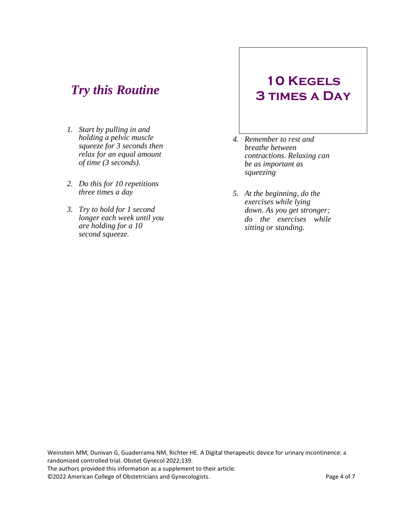# *Try this Routine*

- *1. Start by pulling in and holding a pelvic muscle squeeze for 3 seconds then relax for an equal amount of time (3 seconds).*
- *2. Do this for 10 repetitions three times a day*
- *3. Try to hold for 1 second longer each week until you are holding for a 10 second squeeze.*

# **10 Kegels 3 times a Day**

- *4. Remember to rest and breathe between contractions. Relaxing can be as important as squeezing*
- *5. At the beginning, do the exercises while lying down. As you get stronger; do the exercises while sitting or standing.*

Weinstein MM, Dunivan G, Guaderrama NM, Richter HE. A Digital therapeutic device for urinary incontinence: a randomized controlled trial. Obstet Gynecol 2022;139. The authors provided this information as a supplement to their article. ©2022 American College of Obstetricians and Gynecologists. Page 4 of 7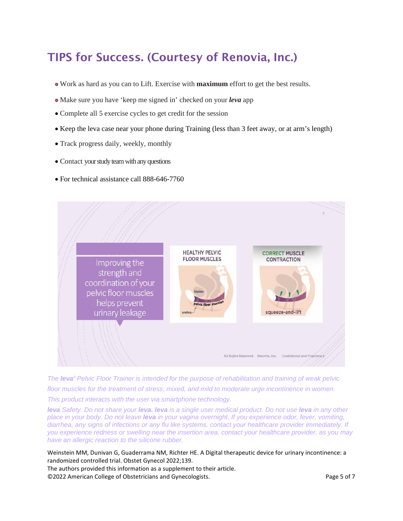# TIPS for Success. (Courtesy of Renovia, Inc.)

- Work as hard as you can to Lift. Exercise with **maximum** effort to get the best results.
- Make sure you have 'keep me signed in' checked on your *leva* app
- Complete all 5 exercise cycles to get credit for the session
- Keep the leva case near your phone during Training (less than 3 feet away, or at arm's length)
- Track progress daily, weekly, monthly
- Contact your study team with any questions
- For technical assistance call 888-646-7760



*The leva® Pelvic Floor Trainer is intended for the purpose of rehabilitation and training of weak pelvic floor muscles for the treatment of stress, mixed, and mild to moderate urge incontinence in women. This product interacts with the user via smartphone technology.*

*leva Safety: Do not share your leva. leva is a single user medical product. Do not use leva in any other place in your body. Do not leave leva in your vagina overnight. If you experience odor, fever, vomiting, diarrhea, any signs of infections or any flu like systems, contact your healthcare provider immediately. If you experience redness or swelling near the insertion area, contact your healthcare provider, as you may have an allergic reaction to the silicone rubber.*

Weinstein MM, Dunivan G, Guaderrama NM, Richter HE. A Digital therapeutic device for urinary incontinence: a randomized controlled trial. Obstet Gynecol 2022;139.

The authors provided this information as a supplement to their article. ©2022 American College of Obstetricians and Gynecologists. Page 5 of 7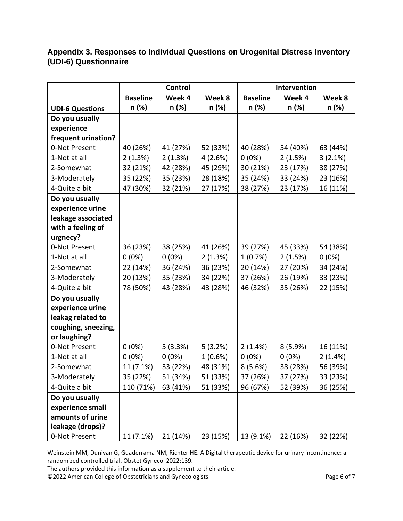### **Appendix 3. Responses to Individual Questions on Urogenital Distress Inventory (UDI-6) Questionnaire**

|                        | <b>Control</b>  |          |            | Intervention    |          |          |
|------------------------|-----------------|----------|------------|-----------------|----------|----------|
|                        | <b>Baseline</b> | Week 4   | Week 8     | <b>Baseline</b> | Week 4   | Week 8   |
| <b>UDI-6 Questions</b> | n (%)           | n (%)    | n (%)      | n (%)           | n (%)    | n (%)    |
| Do you usually         |                 |          |            |                 |          |          |
| experience             |                 |          |            |                 |          |          |
| frequent urination?    |                 |          |            |                 |          |          |
| 0-Not Present          | 40 (26%)        | 41 (27%) | 52 (33%)   | 40 (28%)        | 54 (40%) | 63 (44%) |
| 1-Not at all           | 2(1.3%)         | 2(1.3%)  | 4(2.6%)    | $0(0\%)$        | 2(1.5%)  | 3(2.1%)  |
| 2-Somewhat             | 32 (21%)        | 42 (28%) | 45 (29%)   | 30 (21%)        | 23 (17%) | 38 (27%) |
| 3-Moderately           | 35 (22%)        | 35 (23%) | 28 (18%)   | 35 (24%)        | 33 (24%) | 23 (16%) |
| 4-Quite a bit          | 47 (30%)        | 32 (21%) | 27 (17%)   | 38 (27%)        | 23 (17%) | 16 (11%) |
| Do you usually         |                 |          |            |                 |          |          |
| experience urine       |                 |          |            |                 |          |          |
| leakage associated     |                 |          |            |                 |          |          |
| with a feeling of      |                 |          |            |                 |          |          |
| urgnecy?               |                 |          |            |                 |          |          |
| 0-Not Present          | 36 (23%)        | 38 (25%) | 41 (26%)   | 39 (27%)        | 45 (33%) | 54 (38%) |
| 1-Not at all           | $0(0\%)$        | $0(0\%)$ | 2(1.3%)    | 1(0.7%)         | 2(1.5%)  | $0(0\%)$ |
| 2-Somewhat             | 22 (14%)        | 36 (24%) | 36 (23%)   | 20 (14%)        | 27 (20%) | 34 (24%) |
| 3-Moderately           | 20 (13%)        | 35 (23%) | 34 (22%)   | 37 (26%)        | 26 (19%) | 33 (23%) |
| 4-Quite a bit          | 78 (50%)        | 43 (28%) | 43 (28%)   | 46 (32%)        | 35 (26%) | 22 (15%) |
| Do you usually         |                 |          |            |                 |          |          |
| experience urine       |                 |          |            |                 |          |          |
| leakag related to      |                 |          |            |                 |          |          |
| coughing, sneezing,    |                 |          |            |                 |          |          |
| or laughing?           |                 |          |            |                 |          |          |
| 0-Not Present          | $0(0\%)$        | 5(3.3%)  | 5(3.2%)    | 2(1.4%)         | 8(5.9%)  | 16 (11%) |
| 1-Not at all           | $0(0\%)$        | $0(0\%)$ | $1(0.6\%)$ | $0(0\%)$        | $0(0\%)$ | 2(1.4%)  |
| 2-Somewhat             | 11 (7.1%)       | 33 (22%) | 48 (31%)   | 8(5.6%)         | 38 (28%) | 56 (39%) |
| 3-Moderately           | 35 (22%)        | 51 (34%) | 51 (33%)   | 37 (26%)        | 37 (27%) | 33 (23%) |
| 4-Quite a bit          | 110 (71%)       | 63 (41%) | 51 (33%)   | 96 (67%)        | 52 (39%) | 36 (25%) |
| Do you usually         |                 |          |            |                 |          |          |
| experience small       |                 |          |            |                 |          |          |
| amounts of urine       |                 |          |            |                 |          |          |
| leakage (drops)?       |                 |          |            |                 |          |          |
| 0-Not Present          | 11 (7.1%)       | 21 (14%) | 23 (15%)   | 13 (9.1%)       | 22 (16%) | 32 (22%) |

Weinstein MM, Dunivan G, Guaderrama NM, Richter HE. A Digital therapeutic device for urinary incontinence: a randomized controlled trial. Obstet Gynecol 2022;139.

The authors provided this information as a supplement to their article.

©2022 American College of Obstetricians and Gynecologists. Page 6 of 7